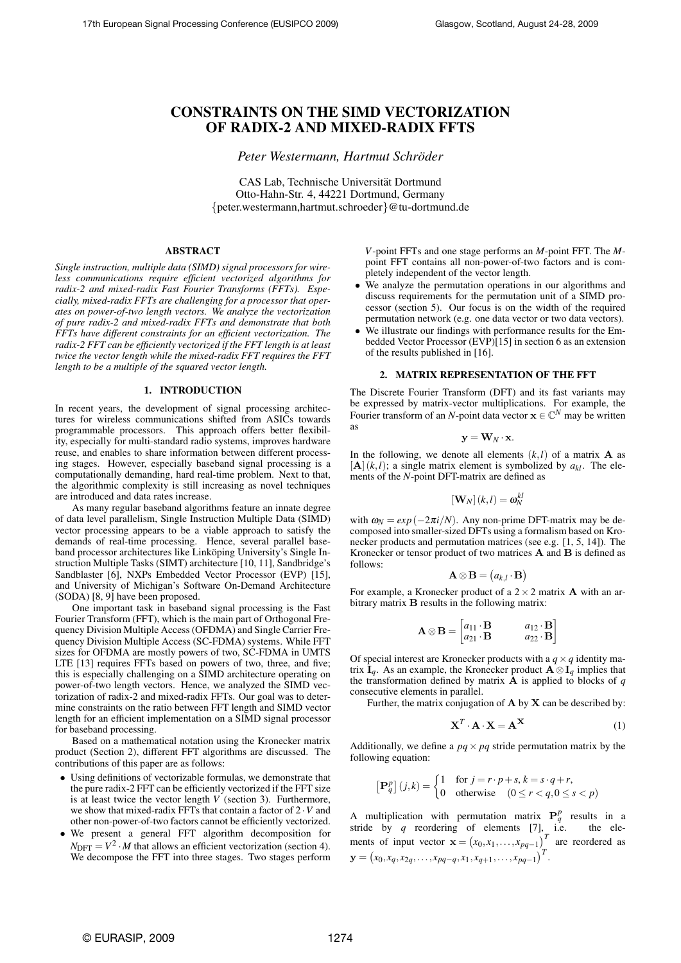# CONSTRAINTS ON THE SIMD VECTORIZATION OF RADIX-2 AND MIXED-RADIX FFTS

*Peter Westermann, Hartmut Schroder ¨*

CAS Lab, Technische Universitat Dortmund ¨ Otto-Hahn-Str. 4, 44221 Dortmund, Germany *{*peter.westermann,hartmut.schroeder*}*@tu-dortmund.de

## ABSTRACT

*Single instruction, multiple data (SIMD) signal processors for wireless communications require efficient vectorized algorithms for radix-2 and mixed-radix Fast Fourier Transforms (FFTs). Especially, mixed-radix FFTs are challenging for a processor that operates on power-of-two length vectors. We analyze the vectorization of pure radix-2 and mixed-radix FFTs and demonstrate that both FFTs have different constraints for an efficient vectorization. The radix-2 FFT can be efficiently vectorized if the FFT length is at least twice the vector length while the mixed-radix FFT requires the FFT length to be a multiple of the squared vector length.*

#### 1. INTRODUCTION

In recent years, the development of signal processing architectures for wireless communications shifted from ASICs towards programmable processors. This approach offers better flexibility, especially for multi-standard radio systems, improves hardware reuse, and enables to share information between different processing stages. However, especially baseband signal processing is a computationally demanding, hard real-time problem. Next to that, the algorithmic complexity is still increasing as novel techniques are introduced and data rates increase.

As many regular baseband algorithms feature an innate degree of data level parallelism, Single Instruction Multiple Data (SIMD) vector processing appears to be a viable approach to satisfy the demands of real-time processing. Hence, several parallel baseband processor architectures like Linköping University's Single Instruction Multiple Tasks (SIMT) architecture [10, 11], Sandbridge's Sandblaster [6], NXPs Embedded Vector Processor (EVP) [15], and University of Michigan's Software On-Demand Architecture (SODA) [8, 9] have been proposed.

One important task in baseband signal processing is the Fast Fourier Transform (FFT), which is the main part of Orthogonal Frequency Division Multiple Access (OFDMA) and Single Carrier Frequency Division Multiple Access (SC-FDMA) systems. While FFT sizes for OFDMA are mostly powers of two, SC-FDMA in UMTS LTE [13] requires FFTs based on powers of two, three, and five; this is especially challenging on a SIMD architecture operating on power-of-two length vectors. Hence, we analyzed the SIMD vectorization of radix-2 and mixed-radix FFTs. Our goal was to determine constraints on the ratio between FFT length and SIMD vector length for an efficient implementation on a SIMD signal processor for baseband processing.

Based on a mathematical notation using the Kronecker matrix product (Section 2), different FFT algorithms are discussed. The contributions of this paper are as follows:

- *•* Using definitions of vectorizable formulas, we demonstrate that the pure radix-2 FFT can be efficiently vectorized if the FFT size is at least twice the vector length *V* (section 3). Furthermore, we show that mixed-radix FFTs that contain a factor of 2 *·V* and other non-power-of-two factors cannot be efficiently vectorized.
- *•* We present a general FFT algorithm decomposition for  $N_{\text{DFT}} = V^2 \cdot M$  that allows an efficient vectorization (section 4). We decompose the FFT into three stages. Two stages perform

*V*-point FFTs and one stage performs an *M*-point FFT. The *M*point FFT contains all non-power-of-two factors and is completely independent of the vector length.

- *•* We analyze the permutation operations in our algorithms and discuss requirements for the permutation unit of a SIMD processor (section 5). Our focus is on the width of the required permutation network (e.g. one data vector or two data vectors).
- We illustrate our findings with performance results for the Embedded Vector Processor (EVP)[15] in section 6 as an extension of the results published in [16].

#### 2. MATRIX REPRESENTATION OF THE FFT

The Discrete Fourier Transform (DFT) and its fast variants may be expressed by matrix-vector multiplications. For example, the Fourier transform of an *N*-point data vector  $\mathbf{x} \in \mathbb{C}^N$  may be written as

$$
\mathbf{y} = \mathbf{W}_N \cdot \mathbf{x}.
$$

In the following, we denote all elements  $(k, l)$  of a matrix **A** as  $[**A**](k, l)$ ; a single matrix element is symbolized by  $a_{kl}$ . The elements of the *N*-point DFT-matrix are defined as

$$
\left[\mathbf{W}_{N}\right](k,l)=\omega_{N}^{kl}
$$

with  $\omega_N = \exp(-2\pi i/N)$ . Any non-prime DFT-matrix may be decomposed into smaller-sized DFTs using a formalism based on Kronecker products and permutation matrices (see e.g. [1, 5, 14]). The Kronecker or tensor product of two matrices **A** and **B** is defined as follows:

$$
\mathbf{A}\otimes\mathbf{B}=\big(a_{k,l}\cdot\mathbf{B}\big)
$$

For example, a Kronecker product of a 2*×*2 matrix **A** with an arbitrary matrix **B** results in the following matrix:

$$
\mathbf{A} \otimes \mathbf{B} = \begin{bmatrix} a_{11} \cdot \mathbf{B} & a_{12} \cdot \mathbf{B} \\ a_{21} \cdot \mathbf{B} & a_{22} \cdot \mathbf{B} \end{bmatrix}
$$

Of special interest are Kronecker products with a  $q \times q$  identity matrix  $\mathbf{I}_q$ . As an example, the Kronecker product  $\mathbf{A} \otimes \mathbf{I}_q$  implies that the transformation defined by matrix **A** is applied to blocks of *q* consecutive elements in parallel.

Further, the matrix conjugation of **A** by **X** can be described by:

$$
\mathbf{X}^T \cdot \mathbf{A} \cdot \mathbf{X} = \mathbf{A}^{\mathbf{X}} \tag{1}
$$

Additionally, we define a  $pq \times pq$  stride permutation matrix by the following equation:

$$
\begin{bmatrix} \mathbf{P}_q^p \end{bmatrix} (j,k) = \begin{cases} 1 & \text{for } j = r \cdot p + s, k = s \cdot q + r, \\ 0 & \text{otherwise} \end{cases} \quad (0 \le r < q, 0 \le s < p)
$$

A multiplication with permutation matrix  $P_q^p$  results in a stride by *q* reordering of elements [7], i.e. the elements of input vector  $\mathbf{x} = (x_0, x_1, \dots, x_{pq-1})^T$  are reordered as  $\mathbf{y} = (x_0, x_q, x_{2q}, \ldots, x_{pq-q}, x_1, x_{q+1}, \ldots, x_{pq-1})^T$ .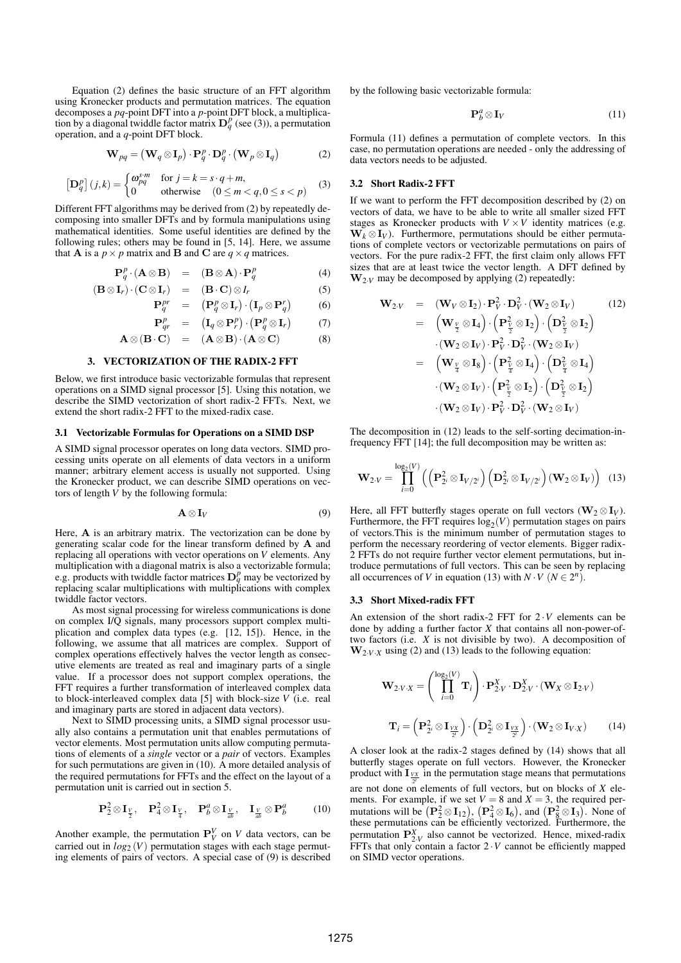Equation (2) defines the basic structure of an FFT algorithm using Kronecker products and permutation matrices. The equation decomposes a *pq*-point DFT into a *p*-point DFT block, a multiplication by a diagonal twiddle factor matrix  $D_q^p$  (see (3)), a permutation operation, and a *q*-point DFT block.

$$
\mathbf{W}_{pq} = (\mathbf{W}_q \otimes \mathbf{I}_p) \cdot \mathbf{P}_q^p \cdot \mathbf{D}_q^p \cdot (\mathbf{W}_p \otimes \mathbf{I}_q)
$$
 (2)

$$
\left[\mathbf{D}_q^p\right](j,k) = \begin{cases} \omega_{pq}^{s \cdot m} & \text{for } j = k = s \cdot q + m, \\ 0 & \text{otherwise} \end{cases} \quad (0 \le m < q, 0 \le s < p) \tag{3}
$$

Different FFT algorithms may be derived from (2) by repeatedly decomposing into smaller DFTs and by formula manipulations using mathematical identities. Some useful identities are defined by the following rules; others may be found in [5, 14]. Here, we assume that **A** is a  $p \times p$  matrix and **B** and **C** are  $q \times q$  matrices.

 $($ **B** $\otimes$ **I**<sub>*r*</sub> $)$  $\cdot$ 

$$
\mathbf{P}_q^p \cdot (\mathbf{A} \otimes \mathbf{B}) = (\mathbf{B} \otimes \mathbf{A}) \cdot \mathbf{P}_q^p \tag{4}
$$

$$
(\mathbf{C} \otimes \mathbf{I}_r) = (\mathbf{B} \cdot \mathbf{C}) \otimes I_r \tag{5}
$$

$$
\mathbf{P}_q^{pr} = (\mathbf{P}_q^p \otimes \mathbf{I}_r) \cdot (\mathbf{I}_p \otimes \mathbf{P}_q^r) \tag{6}
$$

$$
\mathbf{P}_{qr}^p = (\mathbf{I}_q \otimes \mathbf{P}_r^p) \cdot (\mathbf{P}_q^p \otimes \mathbf{I}_r) \tag{7}
$$

$$
\mathbf{A} \otimes (\mathbf{B} \cdot \mathbf{C}) = (\mathbf{A} \otimes \mathbf{B}) \cdot (\mathbf{A} \otimes \mathbf{C}) \tag{8}
$$

#### 3. VECTORIZATION OF THE RADIX-2 FFT

Below, we first introduce basic vectorizable formulas that represent operations on a SIMD signal processor [5]. Using this notation, we describe the SIMD vectorization of short radix-2 FFTs. Next, we extend the short radix-2 FFT to the mixed-radix case.

#### 3.1 Vectorizable Formulas for Operations on a SIMD DSP

A SIMD signal processor operates on long data vectors. SIMD processing units operate on all elements of data vectors in a uniform manner; arbitrary element access is usually not supported. Using the Kronecker product, we can describe SIMD operations on vectors of length *V* by the following formula:

$$
\mathbf{A}\otimes\mathbf{I}_V\tag{9}
$$

Here, **A** is an arbitrary matrix. The vectorization can be done by generating scalar code for the linear transform defined by **A** and replacing all operations with vector operations on *V* elements. Any multiplication with a diagonal matrix is also a vectorizable formula; e.g. products with twiddle factor matrices  $D_q^p$  may be vectorized by replacing scalar multiplications with multiplications with complex twiddle factor vectors.

As most signal processing for wireless communications is done on complex I/Q signals, many processors support complex multiplication and complex data types (e.g. [12, 15]). Hence, in the following, we assume that all matrices are complex. Support of complex operations effectively halves the vector length as consecutive elements are treated as real and imaginary parts of a single value. If a processor does not support complex operations, the FFT requires a further transformation of interleaved complex data to block-interleaved complex data [5] with block-size *V* (i.e. real and imaginary parts are stored in adjacent data vectors).

Next to SIMD processing units, a SIMD signal processor usually also contains a permutation unit that enables permutations of vector elements. Most permutation units allow computing permutations of elements of a *single* vector or a *pair* of vectors. Examples for such permutations are given in (10). A more detailed analysis of the required permutations for FFTs and the effect on the layout of a permutation unit is carried out in section 5.

$$
\mathbf{P}_2^2 \otimes \mathbf{I}_{\frac{V}{2}}, \quad \mathbf{P}_4^2 \otimes \mathbf{I}_{\frac{V}{4}}, \quad \mathbf{P}_b^a \otimes \mathbf{I}_{\frac{V}{ab}}, \quad \mathbf{I}_{\frac{V}{ab}} \otimes \mathbf{P}_b^a \tag{10}
$$

Another example, the permutation  $P_V^V$  on *V* data vectors, can be carried out in  $log_2(V)$  permutation stages with each stage permuting elements of pairs of vectors. A special case of (9) is described by the following basic vectorizable formula:

$$
\mathbf{P}_b^a \otimes \mathbf{I}_V \tag{11}
$$

Formula (11) defines a permutation of complete vectors. In this case, no permutation operations are needed - only the addressing of data vectors needs to be adjusted.

#### 3.2 Short Radix-2 FFT

If we want to perform the FFT decomposition described by (2) on vectors of data, we have to be able to write all smaller sized FFT stages as Kronecker products with  $V \times V$  identity matrices (e.g.  $W_k \otimes I_V$ ). Furthermore, permutations should be either permutations of complete vectors or vectorizable permutations on pairs of vectors. For the pure radix-2 FFT, the first claim only allows FFT sizes that are at least twice the vector length. A DFT defined by  $\mathbf{W}_{2\cdot V}$  may be decomposed by applying (2) repeatedly:

$$
\mathbf{W}_{2\cdot V} = (\mathbf{W}_{V} \otimes \mathbf{I}_{2}) \cdot \mathbf{P}_{V}^{2} \cdot \mathbf{D}_{V}^{2} \cdot (\mathbf{W}_{2} \otimes \mathbf{I}_{V})
$$
(12)  

$$
= (\mathbf{W}_{\frac{V}{2}} \otimes \mathbf{I}_{4}) \cdot (\mathbf{P}_{\frac{V}{2}}^{2} \otimes \mathbf{I}_{2}) \cdot (\mathbf{D}_{\frac{V}{2}}^{2} \otimes \mathbf{I}_{2})
$$

$$
\cdot (\mathbf{W}_{2} \otimes \mathbf{I}_{V}) \cdot \mathbf{P}_{V}^{2} \cdot \mathbf{D}_{V}^{2} \cdot (\mathbf{W}_{2} \otimes \mathbf{I}_{V})
$$

$$
= (\mathbf{W}_{\frac{V}{4}} \otimes \mathbf{I}_{8}) \cdot (\mathbf{P}_{\frac{V}{4}}^{2} \otimes \mathbf{I}_{4}) \cdot (\mathbf{D}_{\frac{V}{4}}^{2} \otimes \mathbf{I}_{4})
$$

$$
\cdot (\mathbf{W}_{2} \otimes \mathbf{I}_{V}) \cdot (\mathbf{P}_{\frac{V}{2}}^{2} \otimes \mathbf{I}_{2}) \cdot (\mathbf{D}_{\frac{V}{2}}^{2} \otimes \mathbf{I}_{2})
$$

$$
\cdot (\mathbf{W}_{2} \otimes \mathbf{I}_{V}) \cdot \mathbf{P}_{V}^{2} \cdot \mathbf{D}_{V}^{2} \cdot (\mathbf{W}_{2} \otimes \mathbf{I}_{V})
$$

The decomposition in (12) leads to the self-sorting decimation-infrequency FFT [14]; the full decomposition may be written as:

$$
\mathbf{W}_{2\cdot V} = \prod_{i=0}^{\log_2(V)} \left( \left( \mathbf{P}_{2^i}^2 \otimes \mathbf{I}_{V/2^i} \right) \left( \mathbf{D}_{2^i}^2 \otimes \mathbf{I}_{V/2^i} \right) (\mathbf{W}_2 \otimes \mathbf{I}_V) \right) \tag{13}
$$

Here, all FFT butterfly stages operate on full vectors ( $\mathbf{W}_2 \otimes \mathbf{I}_V$ ). Furthermore, the FFT requires  $log_2(V)$  permutation stages on pairs of vectors.This is the minimum number of permutation stages to perform the necessary reordering of vector elements. Bigger radix-2 FFTs do not require further vector element permutations, but introduce permutations of full vectors. This can be seen by replacing all occurrences of *V* in equation (13) with  $N \cdot V$  ( $N \in 2^n$ ).

#### 3.3 Short Mixed-radix FFT

An extension of the short radix-2 FFT for 2 *·V* elements can be done by adding a further factor *X* that contains all non-power-oftwo factors (i.e. *X* is not divisible by two). A decomposition of  $W_{2\cdot V \cdot X}$  using (2) and (13) leads to the following equation:

$$
\mathbf{W}_{2\cdot V\cdot X} = \left(\prod_{i=0}^{\log_2(V)} \mathbf{T}_i\right) \cdot \mathbf{P}_{2\cdot V}^X \cdot \mathbf{D}_{2\cdot V}^X \cdot (\mathbf{W}_X \otimes \mathbf{I}_{2\cdot V})
$$

$$
\mathbf{T}_i = \left(\mathbf{P}_{2^i}^2 \otimes \mathbf{I}_{\frac{VX}{2^i}}\right) \cdot \left(\mathbf{D}_{2^i}^2 \otimes \mathbf{I}_{\frac{VX}{2^i}}\right) \cdot (\mathbf{W}_2 \otimes \mathbf{I}_{V\cdot X}) \tag{14}
$$

A closer look at the radix-2 stages defined by (14) shows that all butterfly stages operate on full vectors. However, the Kronecker product with  $\mathbf{I}_{\frac{V}{2^i}}$  in the permutation stage means that permutations are not done on elements of full vectors, but on blocks of *X* elements. For example, if we set  $V = 8$  and  $X = 3$ , the required permutations will be  $(\mathbf{P}_2^2 \otimes \mathbf{I}_{12})$ ,  $(\mathbf{P}_4^2 \otimes \mathbf{I}_6)$ , and  $(\mathbf{P}_8^2 \otimes \mathbf{I}_3)$ . None of these permutations can be efficiently vectorized. Furthermore, the permutation  $\mathbf{P}^{X}_{2,V}$  also cannot be vectorized. Hence, mixed-radix FFTs that only contain a factor  $2 \cdot V$  cannot be efficiently mapped on SIMD vector operations.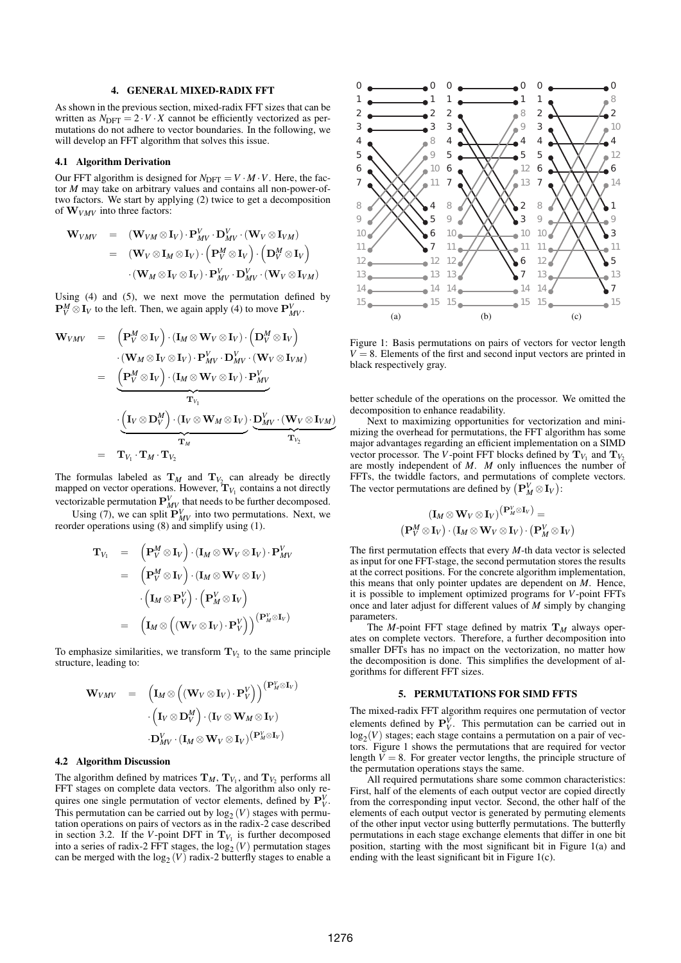## 4. GENERAL MIXED-RADIX FFT

As shown in the previous section, mixed-radix FFT sizes that can be written as  $N<sub>DFT</sub> = 2 \cdot V \cdot X$  cannot be efficiently vectorized as permutations do not adhere to vector boundaries. In the following, we will develop an FFT algorithm that solves this issue.

#### 4.1 Algorithm Derivation

Our FFT algorithm is designed for  $N_{\text{DFT}} = V \cdot M \cdot V$ . Here, the factor *M* may take on arbitrary values and contains all non-power-oftwo factors. We start by applying (2) twice to get a decomposition of **W***VMV* into three factors:

$$
\begin{array}{rcl}\n\mathbf{W}_{VMV} & = & (\mathbf{W}_{VM} \otimes \mathbf{I}_V) \cdot \mathbf{P}_{MV}^V \cdot \mathbf{D}_{MV}^V \cdot (\mathbf{W}_V \otimes \mathbf{I}_{VM}) \\
& = & (\mathbf{W}_V \otimes \mathbf{I}_M \otimes \mathbf{I}_V) \cdot \left( \mathbf{P}_V^M \otimes \mathbf{I}_V \right) \cdot \left( \mathbf{D}_V^M \otimes \mathbf{I}_V \right) \\
& \cdot (\mathbf{W}_M \otimes \mathbf{I}_V \otimes \mathbf{I}_V) \cdot \mathbf{P}_{MV}^V \cdot \mathbf{D}_{MV}^V \cdot (\mathbf{W}_V \otimes \mathbf{I}_{VM})\n\end{array}
$$

Using (4) and (5), we next move the permutation defined by  $\mathbf{P}_V^M \otimes \mathbf{I}_V$  to the left. Then, we again apply (4) to move  $\mathbf{P}_{MV}^V$ .

$$
\mathbf{W}_{VMV} = \left( \mathbf{P}_{V}^{M} \otimes \mathbf{I}_{V} \right) \cdot (\mathbf{I}_{M} \otimes \mathbf{W}_{V} \otimes \mathbf{I}_{V}) \cdot \left( \mathbf{D}_{V}^{M} \otimes \mathbf{I}_{V} \right) \n\cdot (\mathbf{W}_{M} \otimes \mathbf{I}_{V} \otimes \mathbf{I}_{V}) \cdot \mathbf{P}_{MV}^{V} \cdot \mathbf{D}_{MV}^{V} \cdot (\mathbf{W}_{V} \otimes \mathbf{I}_{VM}) \n= \underbrace{\left( \mathbf{P}_{V}^{M} \otimes \mathbf{I}_{V} \right) \cdot (\mathbf{I}_{M} \otimes \mathbf{W}_{V} \otimes \mathbf{I}_{V}) \cdot \mathbf{P}_{MV}^{V}}_{\mathbf{T}_{V_{1}}} \n\cdot \underbrace{\left( \mathbf{I}_{V} \otimes \mathbf{D}_{V}^{M} \right) \cdot (\mathbf{I}_{V} \otimes \mathbf{W}_{M} \otimes \mathbf{I}_{V})}_{\mathbf{T}_{M}} \cdot \underbrace{\mathbf{D}_{MV}^{V} \cdot (\mathbf{W}_{V} \otimes \mathbf{I}_{VM})}_{\mathbf{T}_{V_{2}}} \n= \mathbf{T}_{V_{1}} \cdot \mathbf{T}_{M} \cdot \mathbf{T}_{V_{2}}
$$

The formulas labeled as  $\mathbf{T}_M$  and  $\mathbf{T}_{V_2}$  can already be directly mapped on vector operations. However,  $\mathbf{T}_{V_1}$  contains a not directly vectorizable permutation  $P_{MV}^V$  that needs to be further decomposed.

Using (7), we can split  $P_{MV}^{V}$  into two permutations. Next, we reorder operations using (8) and simplify using (1).

$$
\begin{array}{rcl} \mathbf{T}_{V_1} & = & \left( \mathbf{P}_V^M \otimes \mathbf{I}_V \right) \cdot \left( \mathbf{I}_M \otimes \mathbf{W}_V \otimes \mathbf{I}_V \right) \cdot \mathbf{P}_{MV}^V \\ \\ & = & \left( \mathbf{P}_V^M \otimes \mathbf{I}_V \right) \cdot \left( \mathbf{I}_M \otimes \mathbf{W}_V \otimes \mathbf{I}_V \right) \\ & & \cdot \left( \mathbf{I}_M \otimes \mathbf{P}_V^V \right) \cdot \left( \mathbf{P}_M^V \otimes \mathbf{I}_V \right) \\ \\ & = & \left( \mathbf{I}_M \otimes \left( \left( \mathbf{W}_V \otimes \mathbf{I}_V \right) \cdot \mathbf{P}_V^V \right) \right) \right) \left( \mathbf{P}_M^V \otimes \mathbf{I}_V \right) \end{array}
$$

To emphasize similarities, we transform  $T_{V_2}$  to the same principle structure, leading to:

$$
\begin{array}{rcl} \mathbf{W}_{VMV} & = & \left(\mathbf{I}_M \otimes \left((\mathbf{W}_V \otimes \mathbf{I}_V) \cdot \mathbf{P}_V^V\right)\right)^{\left(\mathbf{P}_M^V \otimes \mathbf{I}_V\right)} \\ & \cdot \left(\mathbf{I}_V \otimes \mathbf{D}_V^M\right) \cdot \left(\mathbf{I}_V \otimes \mathbf{W}_M \otimes \mathbf{I}_V\right) \\ & \cdot \mathbf{D}_{MV}^V \cdot \left(\mathbf{I}_M \otimes \mathbf{W}_V \otimes \mathbf{I}_V\right)^{\left(\mathbf{P}_M^V \otimes \mathbf{I}_V\right)} \end{array}
$$

## 4.2 Algorithm Discussion

The algorithm defined by matrices  $\mathbf{T}_M$ ,  $\mathbf{T}_{V_1}$ , and  $\mathbf{T}_{V_2}$  performs all FFT stages on complete data vectors. The algorithm also only requires one single permutation of vector elements, defined by  $P_V^V$ . This permutation can be carried out by  $log_2(V)$  stages with permutation operations on pairs of vectors as in the radix-2 case described in section 3.2. If the *V*-point DFT in  $T_{V_1}$  is further decomposed into a series of radix-2 FFT stages, the  $log_2(V)$  permutation stages can be merged with the  $log_2(V)$  radix-2 butterfly stages to enable a



Figure 1: Basis permutations on pairs of vectors for vector length  $V = 8$ . Elements of the first and second input vectors are printed in black respectively gray.

better schedule of the operations on the processor. We omitted the decomposition to enhance readability.

Next to maximizing opportunities for vectorization and minimizing the overhead for permutations, the FFT algorithm has some major advantages regarding an efficient implementation on a SIMD vector processor. The *V*-point FFT blocks defined by  $\mathbf{T}_{V_1}$  and  $\mathbf{T}_{V_2}$ are mostly independent of *M*. *M* only influences the number of FFTs, the twiddle factors, and permutations of complete vectors. The vector permutations are defined by  $(\mathbf{P}_{M}^{V} \otimes \mathbf{I}_{V})$ :

$$
\begin{aligned} &(\mathbf{I}_M \otimes \mathbf{W}_V \otimes \mathbf{I}_V)^{\left(\mathbf{P}_M^V \otimes \mathbf{I}_V\right)} = \\ & \left(\mathbf{P}_V^M \otimes \mathbf{I}_V\right) \cdot \left(\mathbf{I}_M \otimes \mathbf{W}_V \otimes \mathbf{I}_V\right) \cdot \left(\mathbf{P}_M^V \otimes \mathbf{I}_V\right) \end{aligned}
$$

The first permutation effects that every *M*-th data vector is selected as input for one FFT-stage, the second permutation stores the results at the correct positions. For the concrete algorithm implementation, this means that only pointer updates are dependent on *M*. Hence, it is possible to implement optimized programs for *V*-point FFTs once and later adjust for different values of *M* simply by changing parameters.

The *M*-point FFT stage defined by matrix  $\mathbf{T}_M$  always operates on complete vectors. Therefore, a further decomposition into smaller DFTs has no impact on the vectorization, no matter how the decomposition is done. This simplifies the development of algorithms for different FFT sizes.

#### 5. PERMUTATIONS FOR SIMD FFTS

The mixed-radix FFT algorithm requires one permutation of vector elements defined by  $P_V^V$ . This permutation can be carried out in  $log_2(V)$  stages; each stage contains a permutation on a pair of vectors. Figure 1 shows the permutations that are required for vector length  $\bar{V} = 8$ . For greater vector lengths, the principle structure of the permutation operations stays the same.

All required permutations share some common characteristics: First, half of the elements of each output vector are copied directly from the corresponding input vector. Second, the other half of the elements of each output vector is generated by permuting elements of the other input vector using butterfly permutations. The butterfly permutations in each stage exchange elements that differ in one bit position, starting with the most significant bit in Figure 1(a) and ending with the least significant bit in Figure 1(c).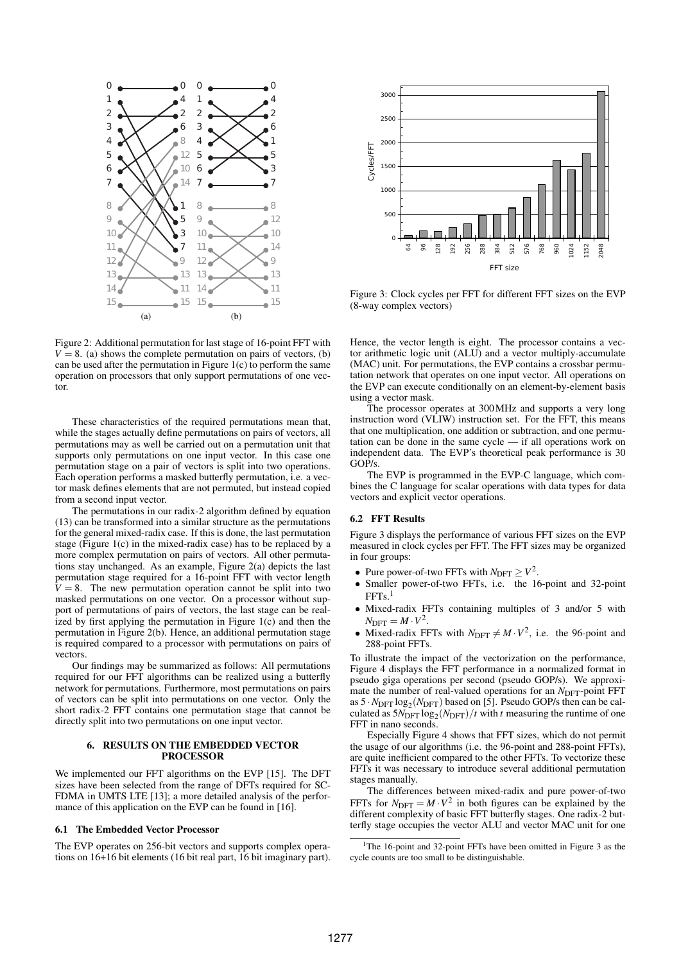

Figure 2: Additional permutation for last stage of 16-point FFT with  $V = 8$ . (a) shows the complete permutation on pairs of vectors, (b) can be used after the permutation in Figure  $1(c)$  to perform the same operation on processors that only support permutations of one vector.

These characteristics of the required permutations mean that, while the stages actually define permutations on pairs of vectors, all permutations may as well be carried out on a permutation unit that supports only permutations on one input vector. In this case one permutation stage on a pair of vectors is split into two operations. Each operation performs a masked butterfly permutation, i.e. a vector mask defines elements that are not permuted, but instead copied from a second input vector.

The permutations in our radix-2 algorithm defined by equation (13) can be transformed into a similar structure as the permutations for the general mixed-radix case. If this is done, the last permutation stage (Figure 1(c) in the mixed-radix case) has to be replaced by a more complex permutation on pairs of vectors. All other permutations stay unchanged. As an example, Figure 2(a) depicts the last permutation stage required for a 16-point FFT with vector length  $V = 8$ . The new permutation operation cannot be split into two masked permutations on one vector. On a processor without support of permutations of pairs of vectors, the last stage can be realized by first applying the permutation in Figure 1(c) and then the permutation in Figure 2(b). Hence, an additional permutation stage is required compared to a processor with permutations on pairs of vectors. The second is the control of the second in the second in the second in the second in the second in the second in the second in the second in the second in the second in the second in the second in the second in the second

Our findings may be summarized as follows: All permutations required for our FFT algorithms can be realized using a butterfly network for permutations. Furthermore, most permutations on pairs of vectors can be split into permutations on one vector. Only the short radix-2 FFT contains one permutation stage that cannot be directly split into two permutations on one input vector.

## 6. RESULTS ON THE EMBEDDED VECTOR PROCESSOR

We implemented our FFT algorithms on the EVP [15]. The DFT sizes have been selected from the range of DFTs required for SC-FDMA in UMTS LTE [13]; a more detailed analysis of the performance of this application on the EVP can be found in [16].

#### 6.1 The Embedded Vector Processor

The EVP operates on 256-bit vectors and supports complex operations on 16+16 bit elements (16 bit real part, 16 bit imaginary part).



Figure 3: Clock cycles per FFT for different FFT sizes on the EVP (8-way complex vectors)

Hence, the vector length is eight. The processor contains a vector arithmetic logic unit (ALU) and a vector multiply-accumulate (MAC) unit. For permutations, the EVP contains a crossbar permutation network that operates on one input vector. All operations on the EVP can execute conditionally on an element-by-element basis using a vector mask.

The processor operates at 300MHz and supports a very long instruction word (VLIW) instruction set. For the FFT, this means that one multiplication, one addition or subtraction, and one permutation can be done in the same cycle — if all operations work on independent data. The EVP's theoretical peak performance is 30 GOP/s.

The EVP is programmed in the EVP-C language, which combines the C language for scalar operations with data types for data vectors and explicit vector operations.

#### 6.2 FFT Results

Figure 3 displays the performance of various FFT sizes on the EVP measured in clock cycles per FFT. The FFT sizes may be organized in four groups:

- Pure power-of-two FFTs with  $N_{\text{DFT}} \geq V^2$ .
- *•* Smaller power-of-two FFTs, i.e. the 16-point and 32-point  $FFTs.<sup>1</sup>$
- *•* Mixed-radix FFTs containing multiples of 3 and/or 5 with  $N_{\text{DFT}} = M \cdot V^2$ .
- Mixed-radix FFTs with  $N_{\text{DFT}} \neq M \cdot V^2$ , i.e. the 96-point and 288-point FFTs.

To illustrate the impact of the vectorization on the performance, Figure 4 displays the FFT performance in a normalized format in pseudo giga operations per second (pseudo GOP/s). We approximate the number of real-valued operations for an *N*<sub>DFT</sub>-point FFT as  $5 \cdot N_{\text{DFT}} \log_2(N_{\text{DFT}})$  based on [5]. Pseudo GOP/s then can be calculated as  $5N_{\text{DFT}} \log_2(N_{\text{DFT}})/t$  with *t* measuring the runtime of one FFT in nano seconds.

Especially Figure 4 shows that FFT sizes, which do not permit the usage of our algorithms (i.e. the 96-point and 288-point FFTs), are quite inefficient compared to the other FFTs. To vectorize these FFTs it was necessary to introduce several additional permutation stages manually.

The differences between mixed-radix and pure power-of-two FFTs for  $N_{\text{DFT}} = M \cdot V^2$  in both figures can be explained by the different complexity of basic FFT butterfly stages. One radix-2 butterfly stage occupies the vector ALU and vector MAC unit for one

<sup>&</sup>lt;sup>1</sup>The 16-point and 32-point FFTs have been omitted in Figure 3 as the cycle counts are too small to be distinguishable.